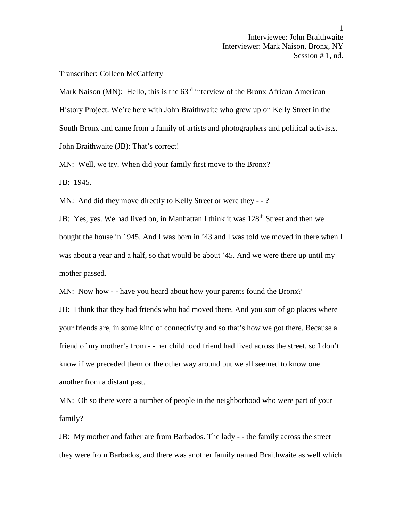## Transcriber: Colleen McCafferty

Mark Naison (MN): Hello, this is the  $63<sup>rd</sup>$  interview of the Bronx African American History Project. We're here with John Braithwaite who grew up on Kelly Street in the South Bronx and came from a family of artists and photographers and political activists. John Braithwaite (JB): That's correct!

MN: Well, we try. When did your family first move to the Bronx?

JB: 1945.

MN: And did they move directly to Kelly Street or were they - -?

JB: Yes, yes. We had lived on, in Manhattan I think it was 128<sup>th</sup> Street and then we bought the house in 1945. And I was born in '43 and I was told we moved in there when I was about a year and a half, so that would be about '45. And we were there up until my mother passed.

MN: Now how - - have you heard about how your parents found the Bronx?

JB: I think that they had friends who had moved there. And you sort of go places where your friends are, in some kind of connectivity and so that's how we got there. Because a friend of my mother's from - - her childhood friend had lived across the street, so I don't know if we preceded them or the other way around but we all seemed to know one another from a distant past.

MN: Oh so there were a number of people in the neighborhood who were part of your family?

JB: My mother and father are from Barbados. The lady - -the family across the street they were from Barbados, and there was another family named Braithwaite as well which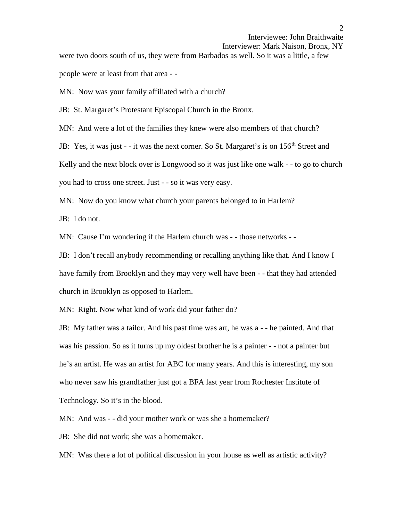```
Interviewer: Mark Naison, Bronx, NY
```
were two doors south of us, they were from Barbados as well. So it was a little, a few people were at least from that area - -

MN: Now was your family affiliated with a church?

JB: St. Margaret's Protestant Episcopal Church in the Bronx.

MN: And were a lot of the families they knew were also members of that church?

JB: Yes, it was just - - it was the next corner. So St. Margaret's is on 156<sup>th</sup> Street and

Kelly and the next block over is Longwood so it was just like one walk - - to go to church

you had to cross one street. Just - - so it was very easy.

MN: Now do you know what church your parents belonged to in Harlem?

JB: I do not.

MN: Cause I'm wondering if the Harlem church was - - those networks - -

JB: I don't recall anybody recommending or recalling anything like that. And I know I have family from Brooklyn and they may very well have been - - that they had attended church in Brooklyn as opposed to Harlem.

MN: Right. Now what kind of work did your father do?

JB: My father was a tailor. And his past time was art, he was a - - he painted. And that was his passion. So as it turns up my oldest brother he is a painter - - not a painter but he's an artist. He was an artist for ABC for many years. And this is interesting, my son who never saw his grandfather just got a BFA last year from Rochester Institute of Technology. So it's in the blood.

MN: And was - - did your mother work or was she a homemaker?

JB: She did not work; she was a homemaker.

MN: Was there a lot of political discussion in your house as well as artistic activity?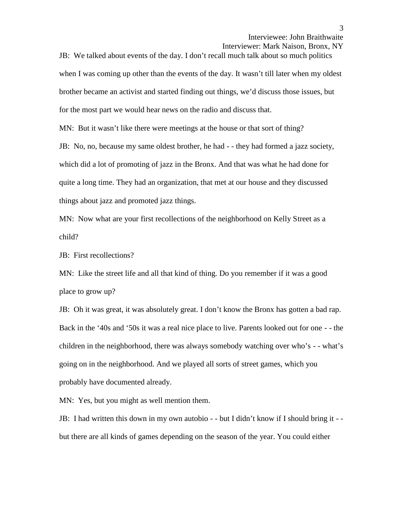Interviewer: Mark Naison, Bronx, NY

JB: We talked about events of the day. I don't recall much talk about so much politics when I was coming up other than the events of the day. It wasn't till later when my oldest brother became an activist and started finding out things, we'd discuss those issues, but for the most part we would hear news on the radio and discuss that.

MN: But it wasn't like there were meetings at the house or that sort of thing?

JB: No, no, because my same oldest brother, he had  $-$ -they had formed a jazz society, which did a lot of promoting of jazz in the Bronx. And that was what he had done for quite a long time. They had an organization, that met at our house and they discussed things about jazz and promoted jazz things.

MN: Now what are your first recollections of the neighborhood on Kelly Street as a child?

JB: First recollections?

MN: Like the street life and all that kind of thing. Do you remember if it was a good place to grow up?

JB: Oh it was great, it was absolutely great. I don't know the Bronx has gotten a bad rap. Back in the '40s and '50s it was a real nice place to live. Parents looked out for one - - the children in the neighborhood, there was always somebody watching over who's - - what's going on in the neighborhood. And we played all sorts of street games, which you probably have documented already.

MN: Yes, but you might as well mention them.

JB: I had written this down in my own autobio - -but I didn't know if I should bring it - but there are all kinds of games depending on the season of the year. You could either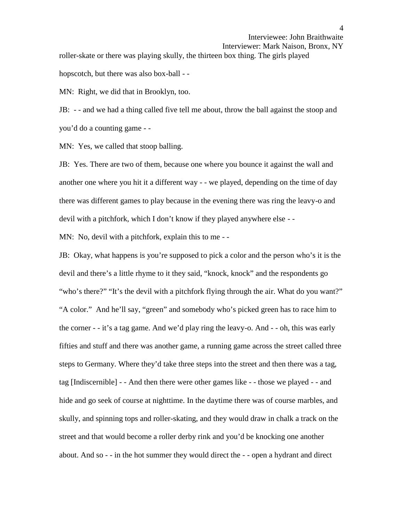Interviewee: John Braithwaite Interviewer: Mark Naison, Bronx, NY roller-skate or there was playing skully, the thirteen box thing. The girls played hopscotch, but there was also box-ball - -

MN: Right, we did that in Brooklyn, too.

JB: - - and we had a thing called five tell me about, throw the ball against the stoop and you'd do a counting game - -

MN: Yes, we called that stoop balling.

JB: Yes. There are two of them, because one where you bounce it against the wall and another one where you hit it a different way - - we played, depending on the time of day there was different games to play because in the evening there was ring the leavy-o and devil with a pitchfork, which I don't know if they played anywhere else - -

MN: No, devil with a pitchfork, explain this to me --

JB: Okay, what happens is you're supposed to pick a color and the person who's it is the devil and there's a little rhyme to it they said, "knock, knock" and the respondents go "who's there?" "It's the devil with a pitchfork flying through the air. What do you want?" "A color." And he'll say, "green" and somebody who's picked green has to race him to the corner - - it's a tag game. And we'd play ring the leavy-o. And - - oh, this was early fifties and stuff and there was another game, a running game across the street called three steps to Germany. Where they'd take three steps into the street and then there was a tag, tag [Indiscernible] - - And then there were other games like - - those we played - -and hide and go seek of course at nighttime. In the daytime there was of course marbles, and skully, and spinning tops and roller-skating, and they would draw in chalk a track on the street and that would become a roller derby rink and you'd be knocking one another about. And so - - in the hot summer they would direct the - - open a hydrant and direct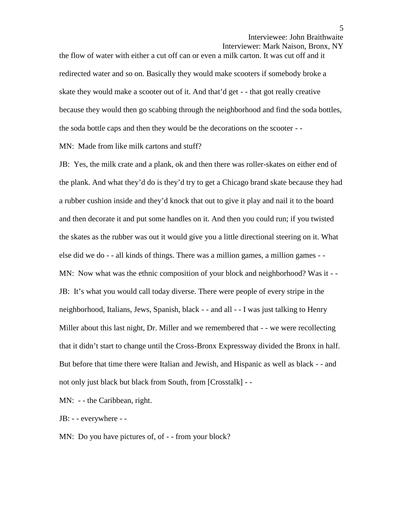Interviewer: Mark Naison, Bronx, NY

the flow of water with either a cut off can or even a milk carton. It was cut off and it redirected water and so on. Basically they would make scooters if somebody broke a skate they would make a scooter out of it. And that'd get - - that got really creative because they would then go scabbing through the neighborhood and find the soda bottles, the soda bottle caps and then they would be the decorations on the scooter - -

MN: Made from like milk cartons and stuff?

JB: Yes, the milk crate and a plank, ok and then there was roller-skates on either end of the plank. And what they'd do is they'd try to get a Chicago brand skate because they had a rubber cushion inside and they'd knock that out to give it play and nail it to the board and then decorate it and put some handles on it. And then you could run; if you twisted the skates as the rubber was out it would give you a little directional steering on it. What else did we do - - all kinds of things. There was a million games, a million games - - MN: Now what was the ethnic composition of your block and neighborhood? Was it --JB: It's what you would call today diverse. There were people of every stripe in the neighborhood, Italians, Jews, Spanish, black - - and all - - I was just talking to Henry Miller about this last night, Dr. Miller and we remembered that - - we were recollecting that it didn't start to change until the Cross-Bronx Expressway divided the Bronx in half. But before that time there were Italian and Jewish, and Hispanic as well as black - - and not only just black but black from South, from [Crosstalk] - -

MN: - - the Caribbean, right.

JB: - - everywhere - -

MN: Do you have pictures of, of - - from your block?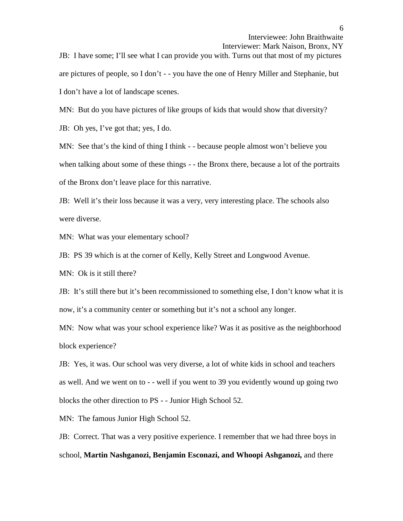Interviewer: Mark Naison, Bronx, NY

JB: I have some; I'll see what I can provide you with. Turns out that most of my pictures are pictures of people, so I don't - - you have the one of Henry Miller and Stephanie, but I don't have a lot of landscape scenes.

MN: But do you have pictures of like groups of kids that would show that diversity?

JB: Oh yes, I've got that; yes, I do.

MN: See that's the kind of thing I think - - because people almost won't believe you when talking about some of these things - - the Bronx there, because a lot of the portraits of the Bronx don't leave place for this narrative.

JB: Well it's their loss because it was a very, very interesting place. The schools also were diverse.

MN: What was your elementary school?

JB: PS 39 which is at the corner of Kelly, Kelly Street and Longwood Avenue.

MN: Ok is it still there?

JB: It's still there but it's been recommissioned to something else, I don't know what it is now, it's a community center or something but it's not a school any longer.

MN: Now what was your school experience like? Was it as positive as the neighborhood block experience?

JB: Yes, it was. Our school was very diverse, a lot of white kids in school and teachers as well. And we went on to - - well if you went to 39 you evidently wound up going two blocks the other direction to PS - - Junior High School 52.

MN: The famous Junior High School 52.

JB: Correct. That was a very positive experience. I remember that we had three boys in school, **Martin Nashganozi, Benjamin Esconazi, and Whoopi Ashganozi,** and there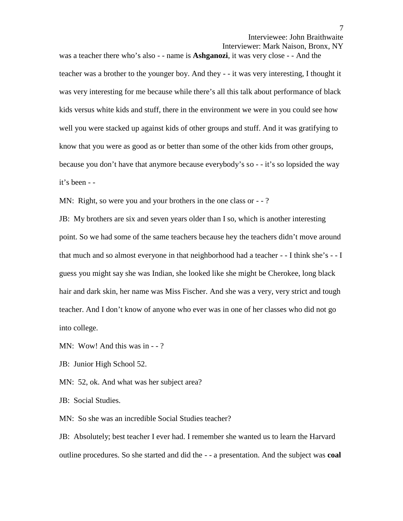Interviewer: Mark Naison, Bronx, NY

was a teacher there who's also - - name is **Ashganozi**, it was very close - - And the teacher was a brother to the younger boy. And they - - it was very interesting, I thought it was very interesting for me because while there's all this talk about performance of black kids versus white kids and stuff, there in the environment we were in you could see how well you were stacked up against kids of other groups and stuff. And it was gratifying to know that you were as good as or better than some of the other kids from other groups, because you don't have that anymore because everybody's so - - it's so lopsided the way it's been - -

MN: Right, so were you and your brothers in the one class or  $-$  -?

JB: My brothers are six and seven years older than I so, which is another interesting point. So we had some of the same teachers because hey the teachers didn't move around that much and so almost everyone in that neighborhood had a teacher - - I think she's - - I guess you might say she was Indian, she looked like she might be Cherokee, long black hair and dark skin, her name was Miss Fischer. And she was a very, very strict and tough teacher. And I don't know of anyone who ever was in one of her classes who did not go into college.

MN: Wow! And this was in - -?

JB: Junior High School 52.

MN: 52, ok. And what was her subject area?

JB: Social Studies.

MN: So she was an incredible Social Studies teacher?

JB: Absolutely; best teacher I ever had. I remember she wanted us to learn the Harvard outline procedures. So she started and did the - - a presentation. And the subject was **coal**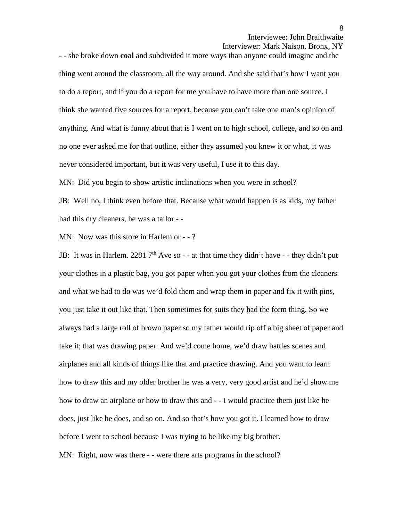8

Interviewer: Mark Naison, Bronx, NY

- - she broke down **coal** and subdivided it more ways than anyone could imagine and the thing went around the classroom, all the way around. And she said that's how I want you to do a report, and if you do a report for me you have to have more than one source. I think she wanted five sources for a report, because you can't take one man's opinion of anything. And what is funny about that is I went on to high school, college, and so on and no one ever asked me for that outline, either they assumed you knew it or what, it was never considered important, but it was very useful, I use it to this day.

MN: Did you begin to show artistic inclinations when you were in school?

JB: Well no, I think even before that. Because what would happen is as kids, my father had this dry cleaners, he was a tailor - -

MN: Now was this store in Harlem or - -?

JB: It was in Harlem. 2281  $7<sup>th</sup>$  Ave so - - at that time they didn't have - - they didn't put your clothes in a plastic bag, you got paper when you got your clothes from the cleaners and what we had to do was we'd fold them and wrap them in paper and fix it with pins, you just take it out like that. Then sometimes for suits they had the form thing. So we always had a large roll of brown paper so my father would rip off a big sheet of paper and take it; that was drawing paper. And we'd come home, we'd draw battles scenes and airplanes and all kinds of things like that and practice drawing. And you want to learn how to draw this and my older brother he was a very, very good artist and he'd show me how to draw an airplane or how to draw this and - -I would practice them just like he does, just like he does, and so on. And so that's how you got it. I learned how to draw before I went to school because I was trying to be like my big brother.

MN: Right, now was there - - were there arts programs in the school?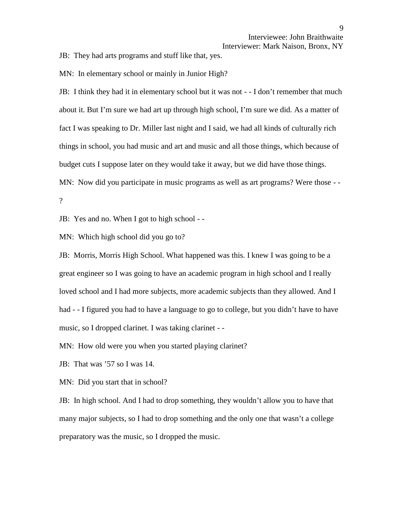JB: They had arts programs and stuff like that, yes.

MN: In elementary school or mainly in Junior High?

JB: I think they had it in elementary school but it was not - - I don't remember that much about it. But I'm sure we had art up through high school, I'm sure we did. As a matter of fact I was speaking to Dr. Miller last night and I said, we had all kinds of culturally rich things in school, you had music and art and music and all those things, which because of budget cuts I suppose later on they would take it away, but we did have those things. MN: Now did you participate in music programs as well as art programs? Were those - - ?

JB: Yes and no. When I got to high school - -

MN: Which high school did you go to?

JB: Morris, Morris High School. What happened was this. I knew I was going to be a great engineer so I was going to have an academic program in high school and I really loved school and I had more subjects, more academic subjects than they allowed. And I had - -I figured you had to have a language to go to college, but you didn't have to have music, so I dropped clarinet. I was taking clarinet - -

MN: How old were you when you started playing clarinet?

JB: That was '57 so I was 14.

MN: Did you start that in school?

JB: In high school. And I had to drop something, they wouldn't allow you to have that many major subjects, so I had to drop something and the only one that wasn't a college preparatory was the music, so I dropped the music.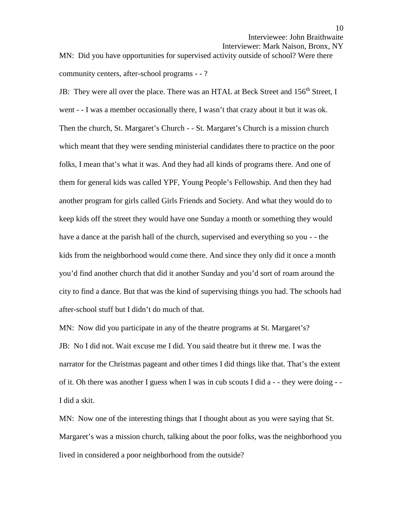MN: Did you have opportunities for supervised activity outside of school? Were there community centers, after-school programs - - ?

JB: They were all over the place. There was an HTAL at Beck Street and 156<sup>th</sup> Street, I went - - I was a member occasionally there, I wasn't that crazy about it but it was ok. Then the church, St. Margaret's Church - - St. Margaret's Church is a mission church which meant that they were sending ministerial candidates there to practice on the poor folks, I mean that's what it was. And they had all kinds of programs there. And one of them for general kids was called YPF, Young People's Fellowship. And then they had another program for girls called Girls Friends and Society. And what they would do to keep kids off the street they would have one Sunday a month or something they would have a dance at the parish hall of the church, supervised and everything so you - - the kids from the neighborhood would come there. And since they only did it once a month you'd find another church that did it another Sunday and you'd sort of roam around the city to find a dance. But that was the kind of supervising things you had. The schools had after-school stuff but I didn't do much of that.

MN: Now did you participate in any of the theatre programs at St. Margaret's? JB: No I did not. Wait excuse me I did. You said theatre but it threw me. I was the narrator for the Christmas pageant and other times I did things like that. That's the extent of it. Oh there was another I guess when I was in cub scouts I did a  $-$  - they were doing  $-$ I did a skit.

MN: Now one of the interesting things that I thought about as you were saying that St. Margaret's was a mission church, talking about the poor folks, was the neighborhood you lived in considered a poor neighborhood from the outside?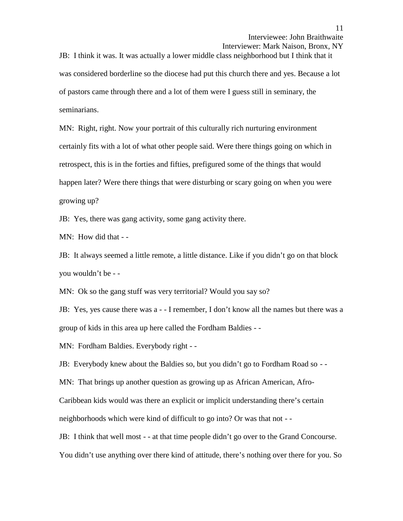Interviewer: Mark Naison, Bronx, NY

JB: I think it was. It was actually a lower middle class neighborhood but I think that it was considered borderline so the diocese had put this church there and yes. Because a lot of pastors came through there and a lot of them were I guess still in seminary, the seminarians.

MN: Right, right. Now your portrait of this culturally rich nurturing environment certainly fits with a lot of what other people said. Were there things going on which in retrospect, this is in the forties and fifties, prefigured some of the things that would happen later? Were there things that were disturbing or scary going on when you were growing up?

JB: Yes, there was gang activity, some gang activity there.

MN: How did that - -

JB: It always seemed a little remote, a little distance. Like if you didn't go on that block you wouldn't be - -

MN: Ok so the gang stuff was very territorial? Would you say so?

JB: Yes, yes cause there was a - - I remember, I don't know all the names but there was a group of kids in this area up here called the Fordham Baldies - -

MN: Fordham Baldies. Everybody right - -

JB: Everybody knew about the Baldies so, but you didn't go to Fordham Road so - -<br>MN: That brings up another question as growing up as African American, Afro-

Caribbean kids would was there an explicit or implicit understanding there's certain

neighborhoods which were kind of difficult to go into? Or was that not - -

JB: I think that well most - - at that time people didn't go over to the Grand Concourse.

You didn't use anything over there kind of attitude, there's nothing over there for you. So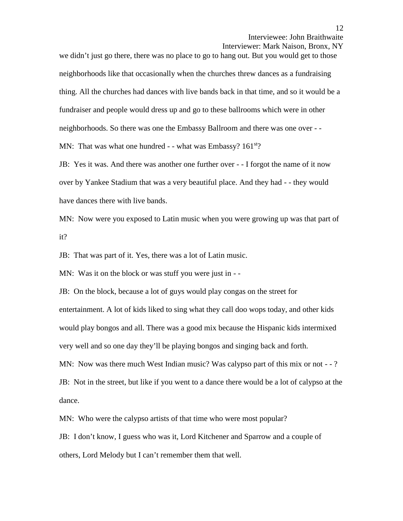Interviewer: Mark Naison, Bronx, NY

we didn't just go there, there was no place to go to hang out. But you would get to those neighborhoods like that occasionally when the churches threw dances as a fundraising thing. All the churches had dances with live bands back in that time, and so it would be a fundraiser and people would dress up and go to these ballrooms which were in other neighborhoods. So there was one the Embassy Ballroom and there was one over - - MN: That was what one hundred  $-$  - what was Embassy?  $161<sup>st</sup>$ ?

JB: Yes it was. And there was another one further over - - I forgot the name of it now over by Yankee Stadium that was a very beautiful place. And they had - - they would have dances there with live bands.

MN: Now were you exposed to Latin music when you were growing up was that part of it?

JB: That was part of it. Yes, there was a lot of Latin music.

MN: Was it on the block or was stuff you were just in - -<br>JB: On the block, because a lot of guys would play congas on the street for

entertainment. A lot of kids liked to sing what they call doo wops today, and other kids would play bongos and all. There was a good mix because the Hispanic kids intermixed very well and so one day they'll be playing bongos and singing back and forth. MN: Now was there much West Indian music? Was calypso part of this mix or not - -? JB: Not in the street, but like if you went to a dance there would be a lot of calypso at the

dance.

MN: Who were the calypso artists of that time who were most popular?

JB: I don't know, I guess who was it, Lord Kitchener and Sparrow and a couple of others, Lord Melody but I can't remember them that well.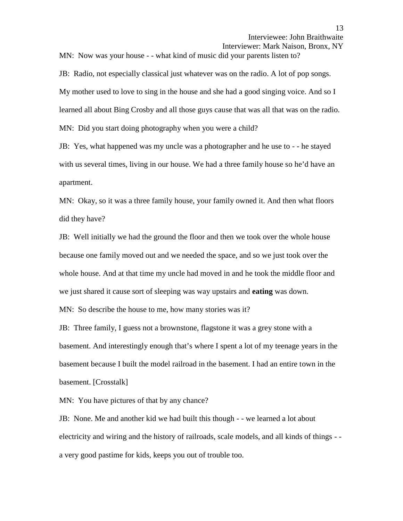MN: Now was your house - - what kind of music did your parents listen to?

JB: Radio, not especially classical just whatever was on the radio. A lot of pop songs. My mother used to love to sing in the house and she had a good singing voice. And so I learned all about Bing Crosby and all those guys cause that was all that was on the radio. MN: Did you start doing photography when you were a child?

JB: Yes, what happened was my uncle was a photographer and he use to - - he stayed with us several times, living in our house. We had a three family house so he'd have an apartment.

MN: Okay, so it was a three family house, your family owned it. And then what floors did they have?

JB: Well initially we had the ground the floor and then we took over the whole house because one family moved out and we needed the space, and so we just took over the whole house. And at that time my uncle had moved in and he took the middle floor and we just shared it cause sort of sleeping was way upstairs and **eating** was down.

MN: So describe the house to me, how many stories was it?

JB: Three family, I guess not a brownstone, flagstone it was a grey stone with a basement. And interestingly enough that's where I spent a lot of my teenage years in the basement because I built the model railroad in the basement. I had an entire town in the basement. [Crosstalk]

MN: You have pictures of that by any chance?

JB: None. Me and another kid we had built this though - -we learned a lot about electricity and wiring and the history of railroads, scale models, and all kinds of things - a very good pastime for kids, keeps you out of trouble too.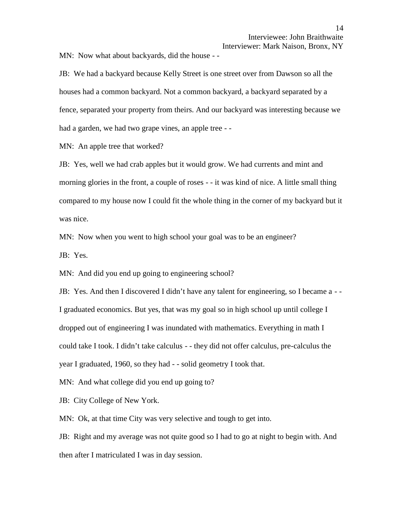MN: Now what about backyards, did the house - -

JB: We had a backyard because Kelly Street is one street over from Dawson so all the houses had a common backyard. Not a common backyard, a backyard separated by a fence, separated your property from theirs. And our backyard was interesting because we had a garden, we had two grape vines, an apple tree - -

MN: An apple tree that worked?

JB: Yes, well we had crab apples but it would grow. We had currents and mint and morning glories in the front, a couple of roses - - it was kind of nice. A little small thing compared to my house now I could fit the whole thing in the corner of my backyard but it was nice.

MN: Now when you went to high school your goal was to be an engineer?

JB: Yes.

MN: And did you end up going to engineering school?

JB: Yes. And then I discovered I didn't have any talent for engineering, so I became a - - I graduated economics. But yes, that was my goal so in high school up until college I dropped out of engineering I was inundated with mathematics. Everything in math I could take I took. I didn't take calculus - - they did not offer calculus, pre-calculus the year I graduated, 1960, so they had - - solid geometry I took that.

MN: And what college did you end up going to?

JB: City College of New York.

MN: Ok, at that time City was very selective and tough to get into.

JB: Right and my average was not quite good so I had to go at night to begin with. And then after I matriculated I was in day session.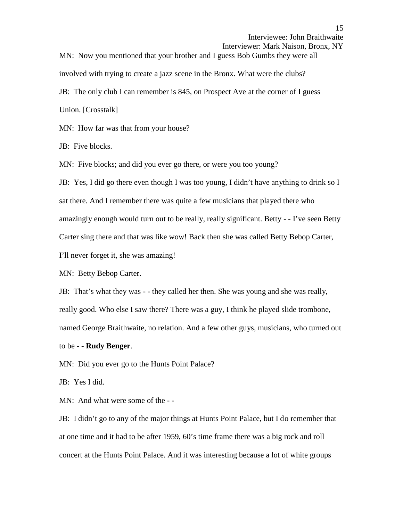Interviewer: Mark Naison, Bronx, NY

MN: Now you mentioned that your brother and I guess Bob Gumbs they were all involved with trying to create a jazz scene in the Bronx. What were the clubs? JB: The only club I can remember is 845, on Prospect Ave at the corner of I guess Union. [Crosstalk]

MN: How far was that from your house?

JB: Five blocks.

MN: Five blocks; and did you ever go there, or were you too young?

JB: Yes, I did go there even though I was too young, I didn't have anything to drink so I sat there. And I remember there was quite a few musicians that played there who amazingly enough would turn out to be really, really significant. Betty - - I've seen Betty Carter sing there and that was like wow! Back then she was called Betty Bebop Carter, I'll never forget it, she was amazing!

MN: Betty Bebop Carter.

JB: That's what they was - - they called her then. She was young and she was really, really good. Who else I saw there? There was a guy, I think he played slide trombone, named George Braithwaite, no relation. And a few other guys, musicians, who turned out

to be - - **Rudy Benger**.

MN: Did you ever go to the Hunts Point Palace?

JB: Yes I did.

MN: And what were some of the - -

JB: I didn't go to any of the major things at Hunts Point Palace, but I do remember that at one time and it had to be after 1959, 60's time frame there was a big rock and roll concert at the Hunts Point Palace. And it was interesting because a lot of white groups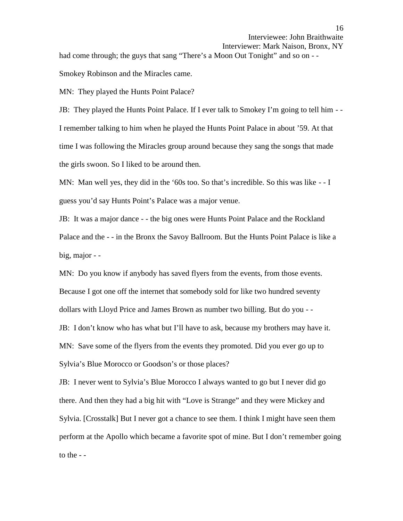had come through; the guys that sang "There's a Moon Out Tonight" and so on - -<br>Smokey Robinson and the Miracles came.

MN: They played the Hunts Point Palace?

JB: They played the Hunts Point Palace. If I ever talk to Smokey I'm going to tell him - - I remember talking to him when he played the Hunts Point Palace in about '59. At that time I was following the Miracles group around because they sang the songs that made the girls swoon. So I liked to be around then.

MN: Man well yes, they did in the '60s too. So that's incredible. So this was like - - I guess you'd say Hunts Point's Palace was a major venue.

JB: It was a major dance - - the big ones were Hunts Point Palace and the Rockland Palace and the - - in the Bronx the Savoy Ballroom. But the Hunts Point Palace is like a big, major - -

MN: Do you know if anybody has saved flyers from the events, from those events. Because I got one off the internet that somebody sold for like two hundred seventy dollars with Lloyd Price and James Brown as number two billing. But do you - - JB: I don't know who has what but I'll have to ask, because my brothers may have it. MN: Save some of the flyers from the events they promoted. Did you ever go up to Sylvia's Blue Morocco or Goodson's or those places?

JB: I never went to Sylvia's Blue Morocco I always wanted to go but I never did go there. And then they had a big hit with "Love is Strange" and they were Mickey and Sylvia. [Crosstalk] But I never got a chance to see them. I think I might have seen them perform at the Apollo which became a favorite spot of mine. But I don't remember going to the - -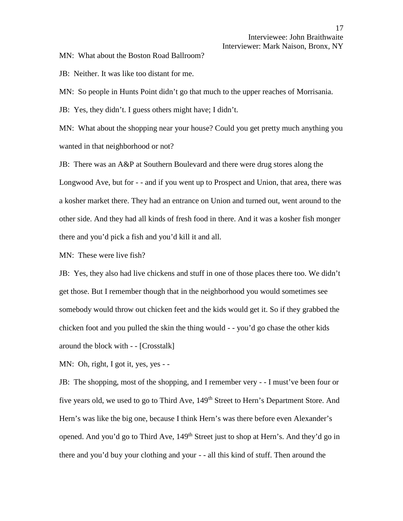MN: What about the Boston Road Ballroom?

JB: Neither. It was like too distant for me.

MN: So people in Hunts Point didn't go that much to the upper reaches of Morrisania.

JB: Yes, they didn't. I guess others might have; I didn't.

MN: What about the shopping near your house? Could you get pretty much anything you wanted in that neighborhood or not?

JB: There was an A&P at Southern Boulevard and there were drug stores along the Longwood Ave, but for - - and if you went up to Prospect and Union, that area, there was a kosher market there. They had an entrance on Union and turned out, went around to the other side. And they had all kinds of fresh food in there. And it was a kosher fish monger there and you'd pick a fish and you'd kill it and all.

MN: These were live fish?

JB: Yes, they also had live chickens and stuff in one of those places there too. We didn't get those. But I remember though that in the neighborhood you would sometimes see somebody would throw out chicken feet and the kids would get it. So if they grabbed the chicken foot and you pulled the skin the thing would - - you'd go chase the other kids around the block with - - [Crosstalk]

MN: Oh, right, I got it, yes, yes - -

JB: The shopping, most of the shopping, and I remember very - - I must've been four or five years old, we used to go to Third Ave, 149<sup>th</sup> Street to Hern's Department Store. And Hern's was like the big one, because I think Hern's was there before even Alexander's opened. And you'd go to Third Ave, 149<sup>th</sup> Street just to shop at Hern's. And they'd go in there and you'd buy your clothing and your - - all this kind of stuff. Then around the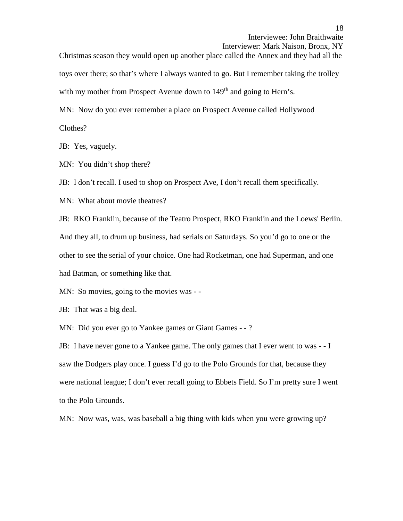Interviewer: Mark Naison, Bronx, NY

Christmas season they would open up another place called the Annex and they had all the toys over there; so that's where I always wanted to go. But I remember taking the trolley with my mother from Prospect Avenue down to  $149<sup>th</sup>$  and going to Hern's.

MN: Now do you ever remember a place on Prospect Avenue called Hollywood

Clothes?

JB: Yes, vaguely.

MN: You didn't shop there?

JB: I don't recall. I used to shop on Prospect Ave, I don't recall them specifically.

MN: What about movie theatres?

JB: RKO Franklin, because of the Teatro Prospect, RKO Franklin and the Loews' Berlin. And they all, to drum up business, had serials on Saturdays. So you'd go to one or the other to see the serial of your choice. One had Rocketman, one had Superman, and one had Batman, or something like that.

MN: So movies, going to the movies was - -

JB: That was a big deal.

MN: Did you ever go to Yankee games or Giant Games - - ?

JB: I have never gone to a Yankee game. The only games that I ever went to was - - I saw the Dodgers play once. I guess I'd go to the Polo Grounds for that, because they were national league; I don't ever recall going to Ebbets Field. So I'm pretty sure I went to the Polo Grounds.

MN: Now was, was, was baseball a big thing with kids when you were growing up?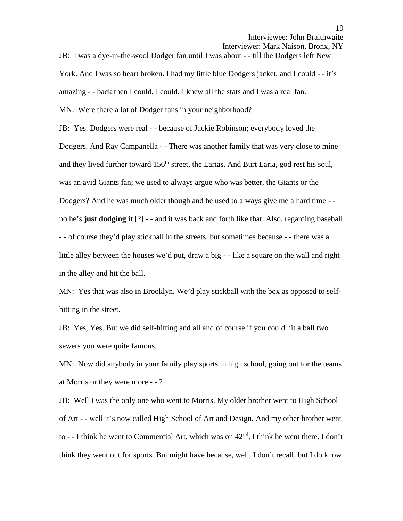```
Interviewer: Mark Naison, Bronx, NY
```
JB: I was a dye-in-the-wool Dodger fan until I was about - - till the Dodgers left New

York. And I was so heart broken. I had my little blue Dodgers jacket, and I could - - it's

amazing - - back then I could, I could, I knew all the stats and I was a real fan.

MN: Were there a lot of Dodger fans in your neighborhood?

JB: Yes. Dodgers were real - - because of Jackie Robinson; everybody loved the Dodgers. And Ray Campanella - - There was another family that was very close to mine and they lived further toward 156<sup>th</sup> street, the Larias. And Burt Laria, god rest his soul, was an avid Giants fan; we used to always argue who was better, the Giants or the Dodgers? And he was much older though and he used to always give me a hard time - no he's **just dodging it** [?] - - and it was back and forth like that. Also, regarding baseball - - of course they'd play stickball in the streets, but sometimes because - - there was a little alley between the houses we'd put, draw a big - - like a square on the wall and right in the alley and hit the ball.

MN: Yes that was also in Brooklyn. We'd play stickball with the box as opposed to self hitting in the street.

JB: Yes, Yes. But we did self-hitting and all and of course if you could hit a ball two sewers you were quite famous.

MN: Now did anybody in your family play sports in high school, going out for the teams at Morris or they were more - - ?

JB: Well I was the only one who went to Morris. My older brother went to High School of Art - - well it's now called High School of Art and Design. And my other brother went to - - I think he went to Commercial Art, which was on  $42<sup>nd</sup>$ , I think he went there. I don't think they went out for sports. But might have because, well, I don't recall, but I do know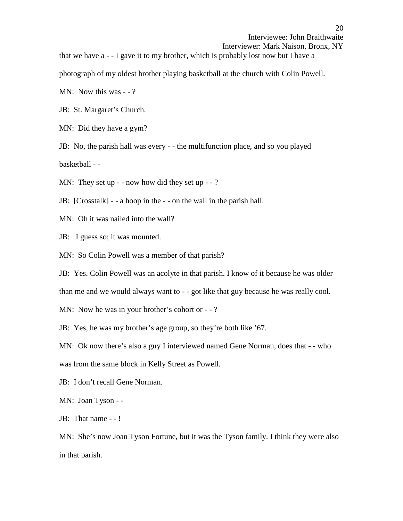Interviewer: Mark Naison, Bronx, NY

that we have a - - I gave it to my brother, which is probably lost now but I have a photograph of my oldest brother playing basketball at the church with Colin Powell.

MN: Now this was - -?

JB: St. Margaret's Church.

MN: Did they have a gym?

JB: No, the parish hall was every - - the multifunction place, and so you played

basketball - -

MN: They set up - - now how did they set up - -?

JB: [Crosstalk] - - a hoop in the - - on the wall in the parish hall.

MN: Oh it was nailed into the wall?

JB: I guess so; it was mounted.

MN: So Colin Powell was a member of that parish?

JB: Yes. Colin Powell was an acolyte in that parish. I know of it because he was older

than me and we would always want to - - got like that guy because he was really cool.

MN: Now he was in your brother's cohort or - -?

JB: Yes, he was my brother's age group, so they're both like '67.

MN: Ok now there's also a guy I interviewed named Gene Norman, does that - - who

was from the same block in Kelly Street as Powell.

JB: I don't recall Gene Norman.

MN: Joan Tyson - -<br>JB: That name - - !

MN: She's now Joan Tyson Fortune, but it was the Tyson family. I think they were also in that parish.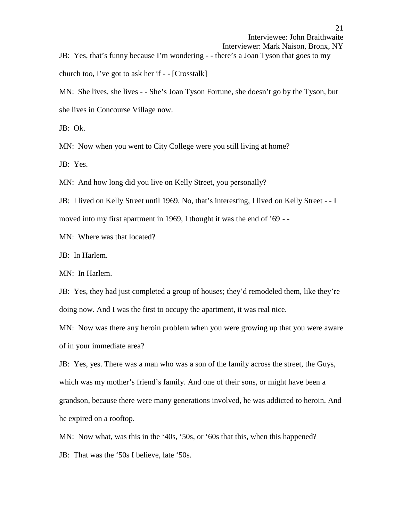Interviewer: Mark Naison, Bronx, NY JB: Yes, that's funny because I'm wondering - - there's a Joan Tyson that goes to my church too, I've got to ask her if - - [Crosstalk]

MN: She lives, she lives - - She's Joan Tyson Fortune, she doesn't go by the Tyson, but she lives in Concourse Village now.

JB: Ok.

MN: Now when you went to City College were you still living at home?

JB: Yes.

MN: And how long did you live on Kelly Street, you personally?

JB: I lived on Kelly Street until 1969. No, that's interesting, I lived on Kelly Street - - I moved into my first apartment in 1969, I thought it was the end of '69 - -

MN: Where was that located?

JB: In Harlem.

MN: In Harlem.

JB: Yes, they had just completed a group of houses; they'd remodeled them, like they're doing now. And I was the first to occupy the apartment, it was real nice.

MN: Now was there any heroin problem when you were growing up that you were aware of in your immediate area?

JB: Yes, yes. There was a man who was a son of the family across the street, the Guys, which was my mother's friend's family. And one of their sons, or might have been a grandson, because there were many generations involved, he was addicted to heroin. And he expired on a rooftop.

MN: Now what, was this in the '40s, '50s, or '60s that this, when this happened?

JB: That was the '50s I believe, late '50s.

Interviewee: John Braithwaite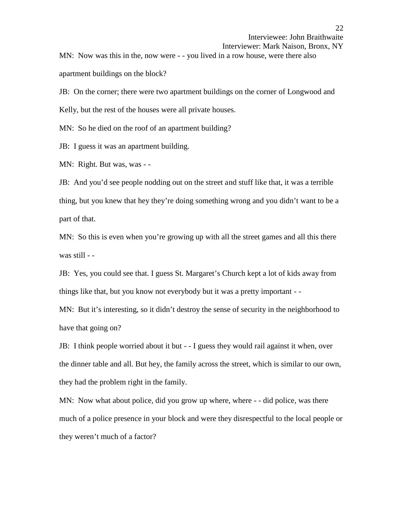Interviewer: Mark Naison, Bronx, NY MN: Now was this in the, now were - - you lived in a row house, were there also apartment buildings on the block?

JB: On the corner; there were two apartment buildings on the corner of Longwood and Kelly, but the rest of the houses were all private houses.

MN: So he died on the roof of an apartment building?

JB: I guess it was an apartment building.

MN: Right. But was, was - -

JB: And you'd see people nodding out on the street and stuff like that, it was a terrible thing, but you knew that hey they're doing something wrong and you didn't want to be a part of that.

MN: So this is even when you're growing up with all the street games and all this there was still - -

JB: Yes, you could see that. I guess St. Margaret's Church kept a lot of kids away from things like that, but you know not everybody but it was a pretty important - -

MN: But it's interesting, so it didn't destroy the sense of security in the neighborhood to have that going on?

JB: I think people worried about it but - - I guess they would rail against it when, over the dinner table and all. But hey, the family across the street, which is similar to our own, they had the problem right in the family.

MN: Now what about police, did you grow up where, where - - did police, was there much of a police presence in your block and were they disrespectful to the local people or they weren't much of a factor?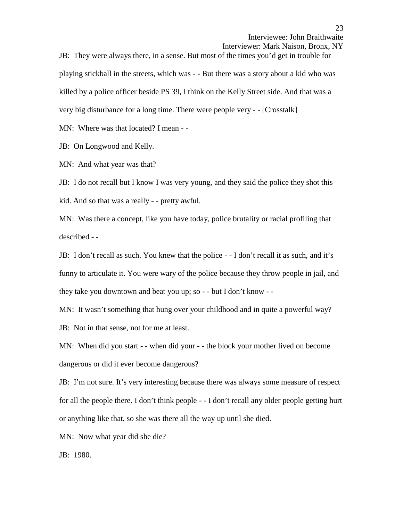Interviewer: Mark Naison, Bronx, NY

JB: They were always there, in a sense. But most of the times you'd get in trouble for playing stickball in the streets, which was - - But there was a story about a kid who was killed by a police officer beside PS 39, I think on the Kelly Street side. And that was a very big disturbance for a long time. There were people very - - [Crosstalk]

MN: Where was that located? I mean - -

JB: On Longwood and Kelly.

MN: And what year was that?

JB: I do not recall but I know I was very young, and they said the police they shot this kid. And so that was a really - - pretty awful.

MN: Was there a concept, like you have today, police brutality or racial profiling that described - -

JB: I don't recall as such. You knew that the police - - I don't recall it as such, and it's funny to articulate it. You were wary of the police because they throw people in jail, and they take you downtown and beat you up; so  $-$  - but I don't know  $-$  -

MN: It wasn't something that hung over your childhood and in quite a powerful way?

JB: Not in that sense, not for me at least.

MN: When did you start - - when did your - - the block your mother lived on become dangerous or did it ever become dangerous?

JB: I'm not sure. It's very interesting because there was always some measure of respect for all the people there. I don't think people - - I don't recall any older people getting hurt or anything like that, so she was there all the way up until she died.

MN: Now what year did she die?

JB: 1980.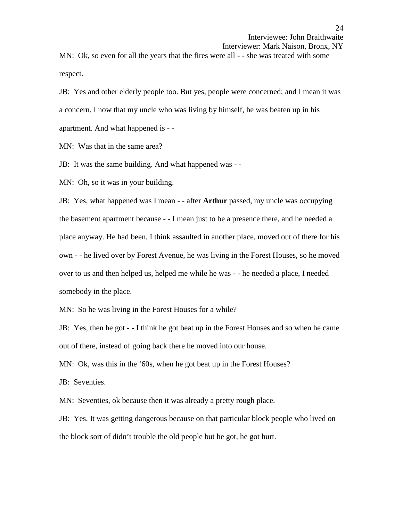Interviewer: Mark Naison, Bronx, NY

MN: Ok, so even for all the years that the fires were all - - she was treated with some respect.

JB: Yes and other elderly people too. But yes, people were concerned; and I mean it was a concern. I now that my uncle who was living by himself, he was beaten up in his apartment. And what happened is - -

MN: Was that in the same area?

JB: It was the same building. And what happened was - -

MN: Oh, so it was in your building.

JB: Yes, what happened was I mean - -after **Arthur** passed, my uncle was occupying the basement apartment because - - I mean just to be a presence there, and he needed a place anyway. He had been, I think assaulted in another place, moved out of there for his own - - he lived over by Forest Avenue, he was living in the Forest Houses, so he moved over to us and then helped us, helped me while he was - - he needed a place, I needed somebody in the place.

MN: So he was living in the Forest Houses for a while?

JB: Yes, then he got - - I think he got beat up in the Forest Houses and so when he came out of there, instead of going back there he moved into our house.

MN: Ok, was this in the '60s, when he got beat up in the Forest Houses?

JB: Seventies.

MN: Seventies, ok because then it was already a pretty rough place.

JB: Yes. It was getting dangerous because on that particular block people who lived on the block sort of didn't trouble the old people but he got, he got hurt.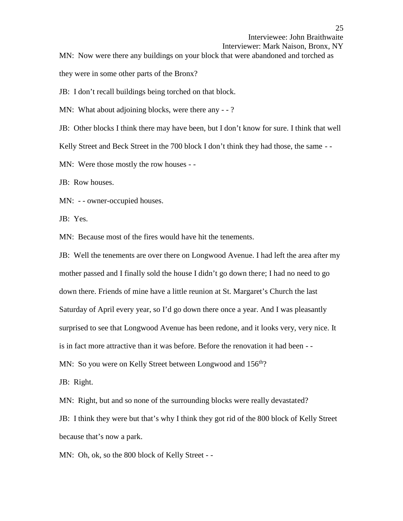```
Interviewer: Mark Naison, Bronx, NY
```
MN: Now were there any buildings on your block that were abandoned and torched as

they were in some other parts of the Bronx?

JB: I don't recall buildings being torched on that block.

MN: What about adjoining blocks, were there any - -?

JB: Other blocks I think there may have been, but I don't know for sure. I think that well

Kelly Street and Beck Street in the 700 block I don't think they had those, the same --

MN: Were those mostly the row houses - -

JB: Row houses.

MN: - - owner-occupied houses.

JB: Yes.

MN: Because most of the fires would have hit the tenements.

JB: Well the tenements are over there on Longwood Avenue. I had left the area after my mother passed and I finally sold the house I didn't go down there; I had no need to go down there. Friends of mine have a little reunion at St. Margaret's Church the last Saturday of April every year, so I'd go down there once a year. And I was pleasantly surprised to see that Longwood Avenue has been redone, and it looks very, very nice. It is in fact more attractive than it was before. Before the renovation it had been - -<br>MN: So you were on Kelly Street between Longwood and 156<sup>th</sup>?

JB: Right.

MN: Right, but and so none of the surrounding blocks were really devastated?

JB: I think they were but that's why I think they got rid of the 800 block of Kelly Street because that's now a park.

MN: Oh, ok, so the 800 block of Kelly Street - -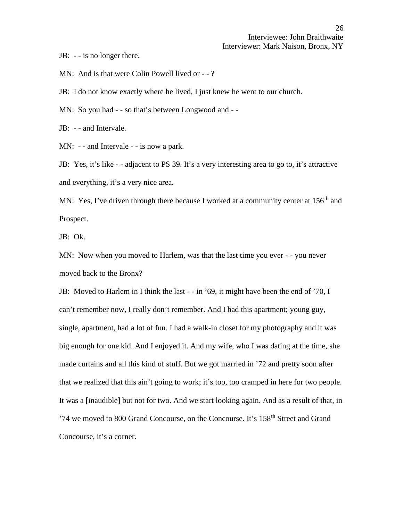JB: - - is no longer there.

MN: And is that were Colin Powell lived or - -?

JB: I do not know exactly where he lived, I just knew he went to our church.

MN: So you had - - so that's between Longwood and - -

JB: - - and Intervale.

MN: - - and Intervale - - is now a park.

JB: Yes, it's like - - adjacent to PS 39. It's a very interesting area to go to, it's attractive and everything, it's a very nice area.

MN: Yes, I've driven through there because I worked at a community center at  $156<sup>th</sup>$  and Prospect.

JB: Ok.

MN: Now when you moved to Harlem, was that the last time you ever - - you never moved back to the Bronx?

JB: Moved to Harlem in I think the last - - in '69, it might have been the end of '70, I can't remember now, I really don't remember. And I had this apartment; young guy, single, apartment, had a lot of fun. I had a walk-in closet for my photography and it was big enough for one kid. And I enjoyed it. And my wife, who I was dating at the time, she made curtains and all this kind of stuff. But we got married in '72 and pretty soon after that we realized that this ain't going to work; it's too, too cramped in here for two people. It was a [inaudible] but not for two. And we start looking again. And as a result of that, in '74 we moved to 800 Grand Concourse, on the Concourse. It's 158<sup>th</sup> Street and Grand Concourse, it's a corner.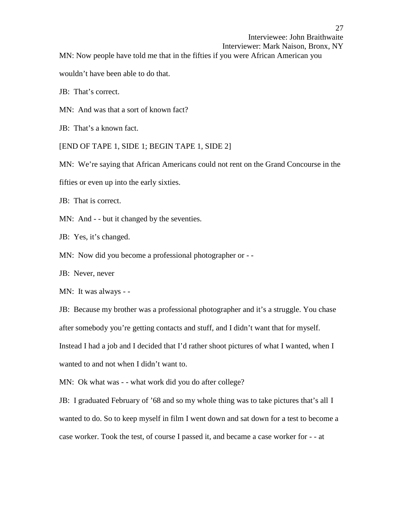Interviewer: Mark Naison, Bronx, NY

MN: Now people have told me that in the fifties if you were African American you

wouldn't have been able to do that.

JB: That's correct.

MN: And was that a sort of known fact?

JB: That's a known fact.

[END OF TAPE 1, SIDE 1; BEGIN TAPE 1, SIDE 2]

MN: We're saying that African Americans could not rent on the Grand Concourse in the

fifties or even up into the early sixties.

JB: That is correct.

MN: And - - but it changed by the seventies.

JB: Yes, it's changed.

MN: Now did you become a professional photographer or --

JB: Never, never

MN: It was always - -

JB: Because my brother was a professional photographer and it's a struggle. You chase after somebody you're getting contacts and stuff, and I didn't want that for myself. Instead I had a job and I decided that I'd rather shoot pictures of what I wanted, when I wanted to and not when I didn't want to.

MN: Ok what was - - what work did you do after college?

JB: I graduated February of '68 and so my whole thing was to take pictures that's all I wanted to do. So to keep myself in film I went down and sat down for a test to become a case worker. Took the test, of course I passed it, and became a case worker for - - at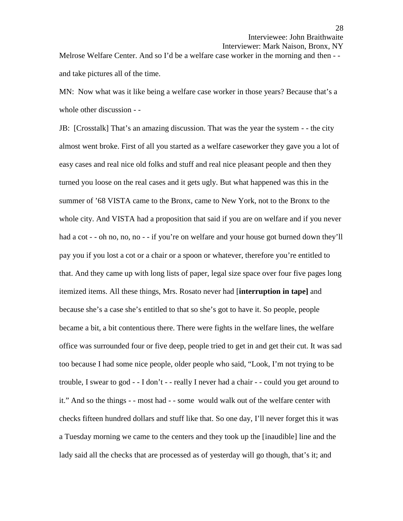Interviewer: Mark Naison, Bronx, NY

Melrose Welfare Center. And so I'd be a welfare case worker in the morning and then - and take pictures all of the time.

MN: Now what was it like being a welfare case worker in those years? Because that's a whole other discussion - -

JB: [Crosstalk] That's an amazing discussion. That was the year the system - - the city almost went broke. First of all you started as a welfare caseworker they gave you a lot of easy cases and real nice old folks and stuff and real nice pleasant people and then they turned you loose on the real cases and it gets ugly. But what happened was this in the summer of '68 VISTA came to the Bronx, came to New York, not to the Bronx to the whole city. And VISTA had a proposition that said if you are on welfare and if you never had a cot - - oh no, no, no - - if you're on welfare and your house got burned down they'll pay you if you lost a cot or a chair or a spoon or whatever, therefore you're entitled to that. And they came up with long lists of paper, legal size space over four five pages long itemized items. All these things, Mrs. Rosato never had [**interruption in tape]** and because she's a case she's entitled to that so she's got to have it. So people, people became a bit, a bit contentious there. There were fights in the welfare lines, the welfare office was surrounded four or five deep, people tried to get in and get their cut. It was sad too because I had some nice people, older people who said, "Look, I'm not trying to be trouble, I swear to god - -I don't - - really I never had a chair - - could you get around to it." And so the things - - most had - - some would walk out of the welfare center with checks fifteen hundred dollars and stuff like that. So one day, I'll never forget this it was a Tuesday morning we came to the centers and they took up the [inaudible] line and the lady said all the checks that are processed as of yesterday will go though, that's it; and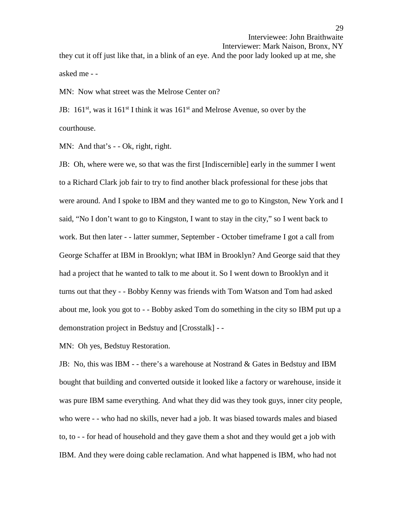Interviewee: John Braithwaite Interviewer: Mark Naison, Bronx, NY they cut it off just like that, in a blink of an eye. And the poor lady looked up at me, she asked me - -

MN: Now what street was the Melrose Center on?

JB:  $161^{st}$ , was it  $161^{st}$  I think it was  $161^{st}$  and Melrose Avenue, so over by the courthouse.

MN: And that's - - Ok, right, right.

JB: Oh, where were we, so that was the first [Indiscernible] early in the summer I went to a Richard Clark job fair to try to find another black professional for these jobs that were around. And I spoke to IBM and they wanted me to go to Kingston, New York and I said, "No I don't want to go to Kingston, I want to stay in the city," so I went back to work. But then later - - latter summer, September - October timeframe I got a call from George Schaffer at IBM in Brooklyn; what IBM in Brooklyn? And George said that they had a project that he wanted to talk to me about it. So I went down to Brooklyn and it turns out that they - - Bobby Kenny was friends with Tom Watson and Tom had asked about me, look you got to - -Bobby asked Tom do something in the city so IBM put up a demonstration project in Bedstuy and [Crosstalk] - -

MN: Oh yes, Bedstuy Restoration.

JB: No, this was IBM - - there's a warehouse at Nostrand & Gates in Bedstuy and IBM bought that building and converted outside it looked like a factory or warehouse, inside it was pure IBM same everything. And what they did was they took guys, inner city people, who were - - who had no skills, never had a job. It was biased towards males and biased to, to - - for head of household and they gave them a shot and they would get a job with IBM. And they were doing cable reclamation. And what happened is IBM, who had not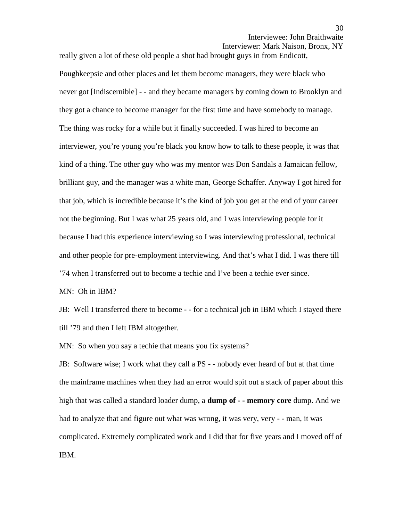Interviewer: Mark Naison, Bronx, NY

Poughkeepsie and other places and let them become managers, they were black who never got [Indiscernible] - - and they became managers by coming down to Brooklyn and they got a chance to become manager for the first time and have somebody to manage. The thing was rocky for a while but it finally succeeded. I was hired to become an interviewer, you're young you're black you know how to talk to these people, it was that kind of a thing. The other guy who was my mentor was Don Sandals a Jamaican fellow, brilliant guy, and the manager was a white man, George Schaffer. Anyway I got hired for that job, which is incredible because it's the kind of job you get at the end of your career not the beginning. But I was what 25 years old, and I was interviewing people for it because I had this experience interviewing so I was interviewing professional, technical and other people for pre-employment interviewing. And that's what I did. I was there till '74 when I transferred out to become a techie and I've been a techie ever since.

really given a lot of these old people a shot had brought guys in from Endicott,

MN: Oh in IBM?

JB: Well I transferred there to become - - for a technical job in IBM which I stayed there till '79 and then I left IBM altogether.

MN: So when you say a techie that means you fix systems?

JB: Software wise; I work what they call a PS - - nobody ever heard of but at that time the mainframe machines when they had an error would spit out a stack of paper about this high that was called a standard loader dump, a **dump of - - memory core** dump. And we had to analyze that and figure out what was wrong, it was very, very - - man, it was complicated. Extremely complicated work and I did that for five years and I moved off of IBM.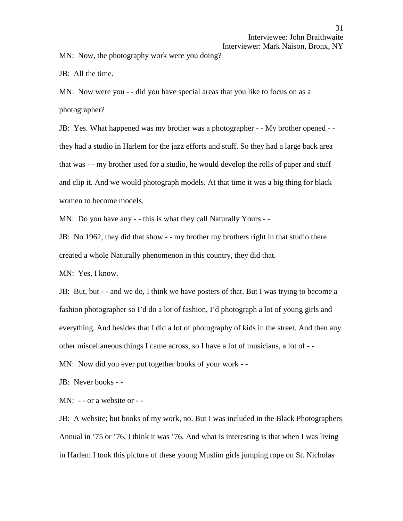#### Interviewer: Mark Naison, Bronx, NY

MN: Now, the photography work were you doing?

JB: All the time.

MN: Now were you - - did you have special areas that you like to focus on as a photographer?

JB: Yes. What happened was my brother was a photographer - - My brother opened - they had a studio in Harlem for the jazz efforts and stuff. So they had a large back area that was - - my brother used for a studio, he would develop the rolls of paper and stuff and clip it. And we would photograph models. At that time it was a big thing for black women to become models.

MN: Do you have any - - this is what they call Naturally Yours - -

JB: No 1962, they did that show - - my brother my brothers right in that studio there created a whole Naturally phenomenon in this country, they did that.

MN: Yes, I know.

JB: But, but - - and we do, I think we have posters of that. But I was trying to become a fashion photographer so I'd do a lot of fashion, I'd photograph a lot of young girls and everything. And besides that I did a lot of photography of kids in the street. And then any other miscellaneous things I came across, so I have a lot of musicians, a lot of - -

MN: Now did you ever put together books of your work - -

JB: Never books - -

MN: - - or a website or - -

JB: A website; but books of my work, no. But I was included in the Black Photographers Annual in '75 or '76, I think it was '76. And what is interesting is that when I was living in Harlem I took this picture of these young Muslim girls jumping rope on St. Nicholas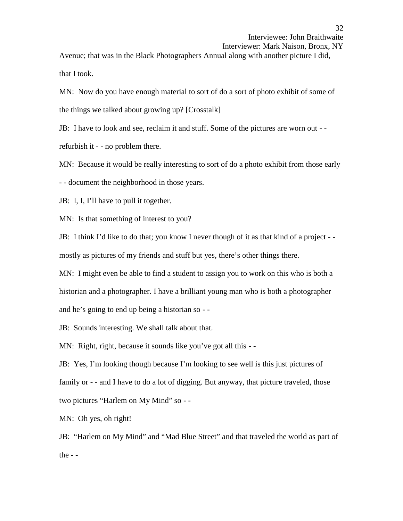Interviewer: Mark Naison, Bronx, NY

Avenue; that was in the Black Photographers Annual along with another picture I did, that I took.

MN: Now do you have enough material to sort of do a sort of photo exhibit of some of the things we talked about growing up? [Crosstalk]

JB: I have to look and see, reclaim it and stuff. Some of the pictures are worn out - -

refurbish it - - no problem there.

MN: Because it would be really interesting to sort of do a photo exhibit from those early

- - document the neighborhood in those years.

JB: I, I, I'll have to pull it together.

MN: Is that something of interest to you?

JB: I think I'd like to do that; you know I never though of it as that kind of a project - mostly as pictures of my friends and stuff but yes, there's other things there.

MN: I might even be able to find a student to assign you to work on this who is both a historian and a photographer. I have a brilliant young man who is both a photographer and he's going to end up being a historian so - -

JB: Sounds interesting. We shall talk about that.

MN: Right, right, because it sounds like you've got all this --

JB: Yes, I'm looking though because I'm looking to see well is this just pictures of family or - - and I have to do a lot of digging. But anyway, that picture traveled, those two pictures "Harlem on My Mind" so - -

MN: Oh yes, oh right!

JB: "Harlem on My Mind" and "Mad Blue Street" and that traveled the world as part of the  $-$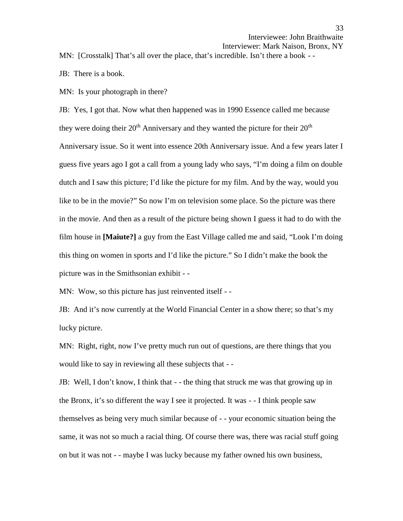Interviewer: Mark Naison, Bronx, NY

MN: [Crosstalk] That's all over the place, that's incredible. Isn't there a book - -<br>JB: There is a book.

MN: Is your photograph in there?

JB: Yes, I got that. Now what then happened was in 1990 Essence called me because they were doing their  $20<sup>th</sup>$  Anniversary and they wanted the picture for their  $20<sup>th</sup>$ Anniversary issue. So it went into essence 20th Anniversary issue. And a few years later I guess five years ago I got a call from a young lady who says, "I'm doing a film on double dutch and I saw this picture; I'd like the picture for my film. And by the way, would you like to be in the movie?" So now I'm on television some place. So the picture was there in the movie. And then as a result of the picture being shown I guess it had to do with the film house in **[Maiute?]** a guy from the East Village called me and said, "Look I'm doing this thing on women in sports and I'd like the picture." So I didn't make the book the picture was in the Smithsonian exhibit - -

MN: Wow, so this picture has just reinvented itself - -

JB: And it's now currently at the World Financial Center in a show there; so that's my lucky picture.

MN: Right, right, now I've pretty much run out of questions, are there things that you would like to say in reviewing all these subjects that - -

JB: Well, I don't know, I think that - - the thing that struck me was that growing up in the Bronx, it's so different the way I see it projected. It was - - I think people saw themselves as being very much similar because of - - your economic situation being the same, it was not so much a racial thing. Of course there was, there was racial stuff going on but it was not - - maybe I was lucky because my father owned his own business,